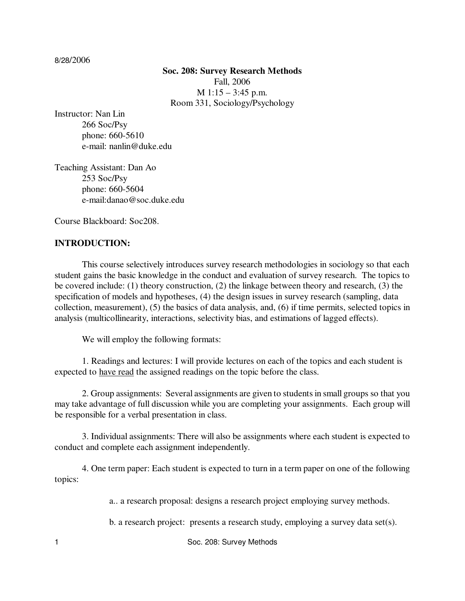#### 8/28/2006

#### **Soc. 208: Survey Research Methods**

Fall, 2006  $M$  1:15 – 3:45 p.m. Room 331, Sociology/Psychology

Instructor: Nan Lin 266 Soc/Psy phone: 660-5610 e-mail: nanlin@duke.edu

Teaching Assistant: Dan Ao 253 Soc/Psy phone: 660-5604 e-mail:danao@soc.duke.edu

Course Blackboard: Soc208.

## **INTRODUCTION:**

 This course selectively introduces survey research methodologies in sociology so that each student gains the basic knowledge in the conduct and evaluation of survey research. The topics to be covered include: (1) theory construction, (2) the linkage between theory and research, (3) the specification of models and hypotheses, (4) the design issues in survey research (sampling, data collection, measurement), (5) the basics of data analysis, and, (6) if time permits, selected topics in analysis (multicollinearity, interactions, selectivity bias, and estimations of lagged effects).

We will employ the following formats:

 1. Readings and lectures: I will provide lectures on each of the topics and each student is expected to have read the assigned readings on the topic before the class.

 2. Group assignments: Several assignments are given to students in small groups so that you may take advantage of full discussion while you are completing your assignments. Each group will be responsible for a verbal presentation in class.

 3. Individual assignments: There will also be assignments where each student is expected to conduct and complete each assignment independently.

 4. One term paper: Each student is expected to turn in a term paper on one of the following topics:

a.. a research proposal: designs a research project employing survey methods.

b. a research project: presents a research study, employing a survey data set(s).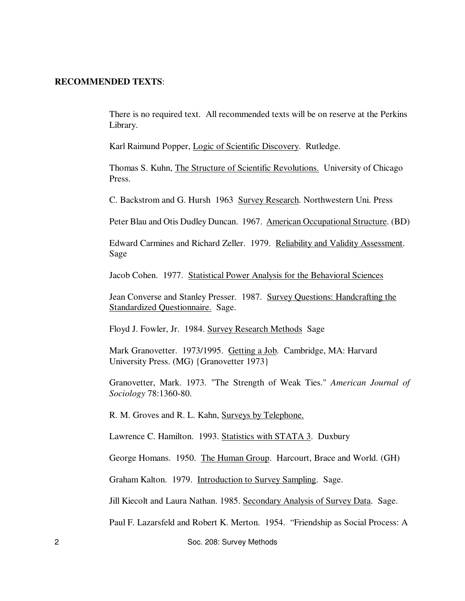#### **RECOMMENDED TEXTS**:

 There is no required text. All recommended texts will be on reserve at the Perkins Library.

Karl Raimund Popper, Logic of Scientific Discovery. Rutledge.

Thomas S. Kuhn, The Structure of Scientific Revolutions. University of Chicago Press.

C. Backstrom and G. Hursh 1963 Survey Research. Northwestern Uni. Press

Peter Blau and Otis Dudley Duncan. 1967. American Occupational Structure. (BD)

 Edward Carmines and Richard Zeller. 1979. Reliability and Validity Assessment. Sage

Jacob Cohen. 1977. Statistical Power Analysis for the Behavioral Sciences

 Jean Converse and Stanley Presser. 1987. Survey Questions: Handcrafting the Standardized Questionnaire. Sage.

Floyd J. Fowler, Jr. 1984. Survey Research Methods Sage

 Mark Granovetter. 1973/1995. Getting a Job. Cambridge, MA: Harvard University Press. (MG) {Granovetter 1973}

Granovetter, Mark. 1973. "The Strength of Weak Ties." *American Journal of Sociology* 78:1360-80.

R. M. Groves and R. L. Kahn, Surveys by Telephone.

Lawrence C. Hamilton. 1993. Statistics with STATA 3. Duxbury

George Homans. 1950. The Human Group. Harcourt, Brace and World. (GH)

Graham Kalton. 1979. Introduction to Survey Sampling. Sage.

Jill Kiecolt and Laura Nathan. 1985. Secondary Analysis of Survey Data. Sage.

Paul F. Lazarsfeld and Robert K. Merton. 1954. "Friendship as Social Process: A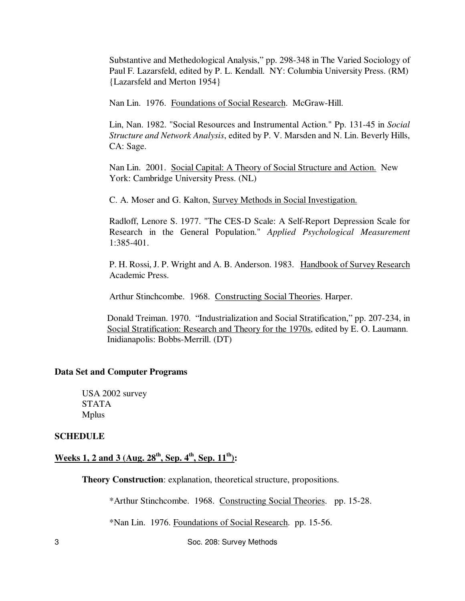Substantive and Methedological Analysis," pp. 298-348 in The Varied Sociology of Paul F. Lazarsfeld, edited by P. L. Kendall. NY: Columbia University Press. (RM) {Lazarsfeld and Merton 1954}

Nan Lin. 1976. Foundations of Social Research. McGraw-Hill.

Lin, Nan. 1982. "Social Resources and Instrumental Action." Pp. 131-45 in *Social Structure and Network Analysis*, edited by P. V. Marsden and N. Lin. Beverly Hills, CA: Sage.

 Nan Lin. 2001. Social Capital: A Theory of Social Structure and Action. New York: Cambridge University Press. (NL)

C. A. Moser and G. Kalton, Survey Methods in Social Investigation.

Radloff, Lenore S. 1977. "The CES-D Scale: A Self-Report Depression Scale for Research in the General Population." *Applied Psychological Measurement* 1:385-401.

P. H. Rossi, J. P. Wright and A. B. Anderson. 1983. Handbook of Survey Research Academic Press.

Arthur Stinchcombe. 1968. Constructing Social Theories. Harper.

Donald Treiman. 1970. "Industrialization and Social Stratification," pp. 207-234, in Social Stratification: Research and Theory for the 1970s, edited by E. O. Laumann. Inidianapolis: Bobbs-Merrill. (DT)

#### **Data Set and Computer Programs**

 USA 2002 survey STATA Mplus

#### **SCHEDULE**

# **Weeks 1, 2 and 3 (Aug. 28th, Sep. 4th, Sep. 11th):**

 **Theory Construction**: explanation, theoretical structure, propositions.

\*Arthur Stinchcombe. 1968. Constructing Social Theories. pp. 15-28.

\*Nan Lin. 1976. Foundations of Social Research. pp. 15-56.

3 Soc. 208: Survey Methods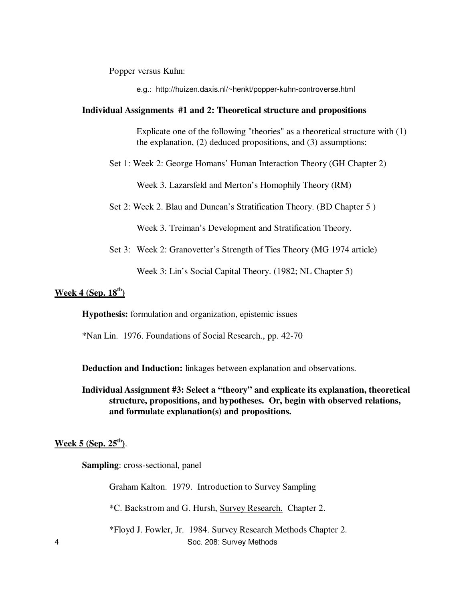Popper versus Kuhn:

e.g.: http://huizen.daxis.nl/~henkt/popper-kuhn-controverse.html

#### **Individual Assignments #1 and 2: Theoretical structure and propositions**

 Explicate one of the following "theories" as a theoretical structure with (1) the explanation, (2) deduced propositions, and (3) assumptions:

Set 1: Week 2: George Homans' Human Interaction Theory (GH Chapter 2)

Week 3. Lazarsfeld and Merton's Homophily Theory (RM)

Set 2: Week 2. Blau and Duncan's Stratification Theory. (BD Chapter 5 )

Week 3. Treiman's Development and Stratification Theory.

Set 3: Week 2: Granovetter's Strength of Ties Theory (MG 1974 article)

Week 3: Lin's Social Capital Theory. (1982; NL Chapter 5)

# **Week 4 (Sep. 18th)**

 **Hypothesis:** formulation and organization, epistemic issues

\*Nan Lin. 1976. Foundations of Social Research., pp. 42-70

**Deduction and Induction:** linkages between explanation and observations.

# **Individual Assignment #3: Select a "theory" and explicate its explanation, theoretical structure, propositions, and hypotheses. Or, begin with observed relations, and formulate explanation(s) and propositions.**

# **Week 5 (Sep. 25th)**.

 **Sampling**: cross-sectional, panel

Graham Kalton. 1979. Introduction to Survey Sampling

\*C. Backstrom and G. Hursh, Survey Research. Chapter 2.

4 Soc. 208: Survey Methods \*Floyd J. Fowler, Jr. 1984. Survey Research Methods Chapter 2.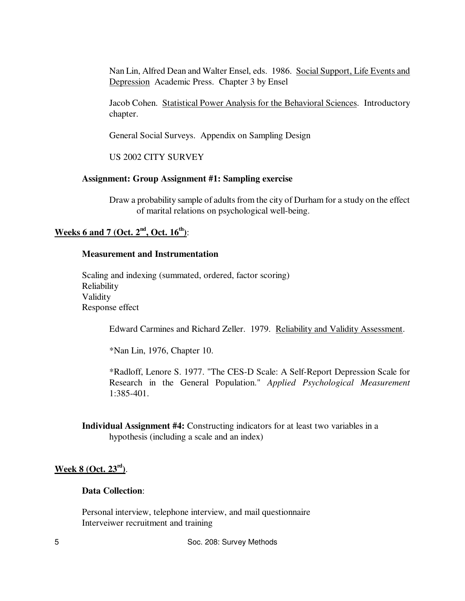Nan Lin, Alfred Dean and Walter Ensel, eds. 1986. Social Support, Life Events and Depression Academic Press. Chapter 3 by Ensel

 Jacob Cohen. Statistical Power Analysis for the Behavioral Sciences. Introductory chapter.

General Social Surveys. Appendix on Sampling Design

US 2002 CITY SURVEY

#### **Assignment: Group Assignment #1: Sampling exercise**

 Draw a probability sample of adults from the city of Durham for a study on the effect of marital relations on psychological well-being.

# **Weeks 6 and 7 (Oct. 2nd, Oct. 16th)**:

#### **Measurement and Instrumentation**

 Scaling and indexing (summated, ordered, factor scoring) Reliability Validity Response effect

Edward Carmines and Richard Zeller. 1979. Reliability and Validity Assessment.

\*Nan Lin, 1976, Chapter 10.

\*Radloff, Lenore S. 1977. "The CES-D Scale: A Self-Report Depression Scale for Research in the General Population." *Applied Psychological Measurement* 1:385-401.

# **Week 8 (Oct. 23rd)**.

#### **Data Collection**:

 Personal interview, telephone interview, and mail questionnaire Interveiwer recruitment and training

**Individual Assignment #4:** Constructing indicators for at least two variables in a hypothesis (including a scale and an index)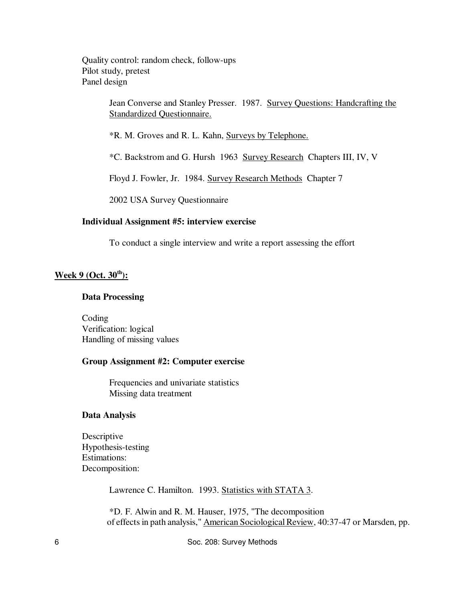Quality control: random check, follow-ups Pilot study, pretest Panel design

> Jean Converse and Stanley Presser. 1987. Survey Questions: Handcrafting the Standardized Questionnaire.

\*R. M. Groves and R. L. Kahn, Surveys by Telephone.

\*C. Backstrom and G. Hursh 1963 Survey Research Chapters III, IV, V

Floyd J. Fowler, Jr. 1984. Survey Research Methods Chapter 7

2002 USA Survey Questionnaire

#### **Individual Assignment #5: interview exercise**

To conduct a single interview and write a report assessing the effort

#### **Week 9 (Oct. 30th):**

#### **Data Processing**

 Coding Verification: logical Handling of missing values

#### **Group Assignment #2: Computer exercise**

 Frequencies and univariate statistics Missing data treatment

#### **Data Analysis**

**Descriptive**  Hypothesis-testing Estimations: Decomposition:

Lawrence C. Hamilton. 1993. Statistics with STATA 3.

 \*D. F. Alwin and R. M. Hauser, 1975, "The decomposition of effects in path analysis," American Sociological Review, 40:37-47 or Marsden, pp.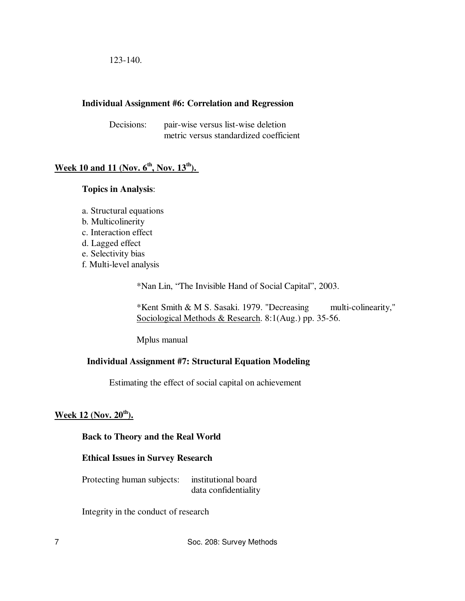123-140.

## **Individual Assignment #6: Correlation and Regression**

 Decisions: pair-wise versus list-wise deletion metric versus standardized coefficient

# **Week 10 and 11 (Nov. 6th, Nov. 13th).**

# **Topics in Analysis**:

 a. Structural equations b. Multicolinerity c. Interaction effect d. Lagged effect e. Selectivity bias f. Multi-level analysis

\*Nan Lin, "The Invisible Hand of Social Capital", 2003.

 \*Kent Smith & M S. Sasaki. 1979. "Decreasing multi-colinearity," Sociological Methods & Research. 8:1(Aug.) pp. 35-56.

Mplus manual

# **Individual Assignment #7: Structural Equation Modeling**

Estimating the effect of social capital on achievement

# **Week 12 (Nov. 20th).**

## **Back to Theory and the Real World**

## **Ethical Issues in Survey Research**

 Protecting human subjects: institutional board data confidentiality

Integrity in the conduct of research